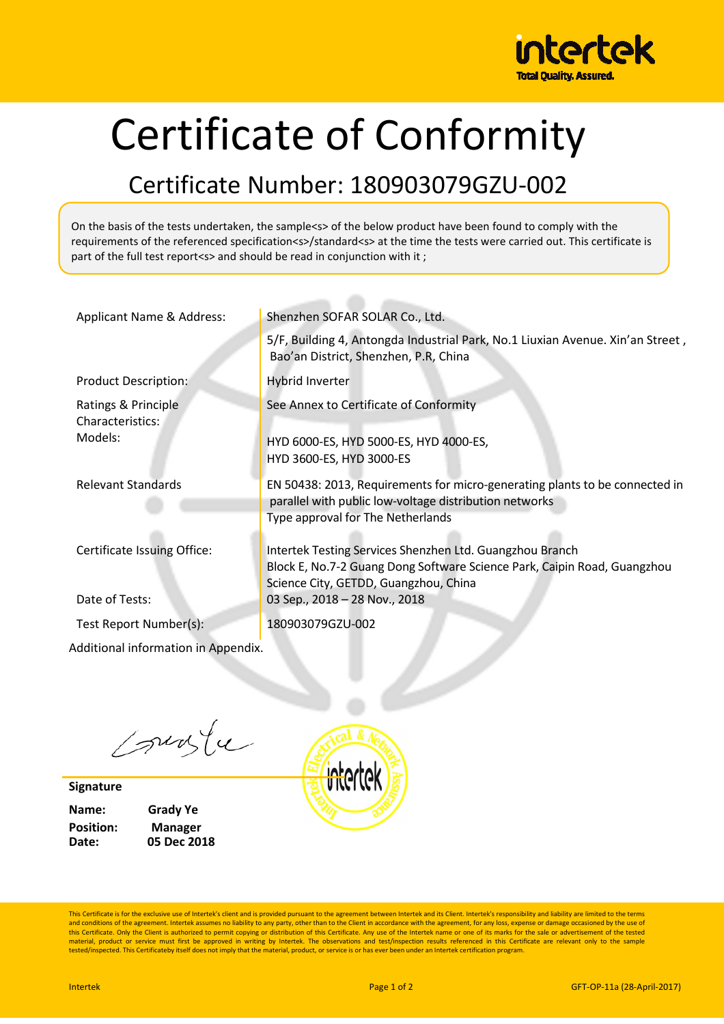

## Certificate of Conformity

## Certificate Number: 180903079GZU-002

On the basis of the tests undertaken, the sample<s> of the below product have been found to comply with the requirements of the referenced specification<s>/standard<s> at the time the tests were carried out. This certificate is part of the full test report<s> and should be read in conjunction with it;

| Applicant Name & Address:               | Shenzhen SOFAR SOLAR Co., Ltd.                                                                                                                                                |  |  |  |
|-----------------------------------------|-------------------------------------------------------------------------------------------------------------------------------------------------------------------------------|--|--|--|
|                                         | 5/F, Building 4, Antongda Industrial Park, No.1 Liuxian Avenue. Xin'an Street,<br>Bao'an District, Shenzhen, P.R, China                                                       |  |  |  |
| <b>Product Description:</b>             | Hybrid Inverter                                                                                                                                                               |  |  |  |
| Ratings & Principle<br>Characteristics: | See Annex to Certificate of Conformity                                                                                                                                        |  |  |  |
| Models:                                 | HYD 6000-ES, HYD 5000-ES, HYD 4000-ES,<br>HYD 3600-ES, HYD 3000-ES                                                                                                            |  |  |  |
| <b>Relevant Standards</b>               | EN 50438: 2013, Requirements for micro-generating plants to be connected in<br>parallel with public low-voltage distribution networks<br>Type approval for The Netherlands    |  |  |  |
| Certificate Issuing Office:             | Intertek Testing Services Shenzhen Ltd. Guangzhou Branch<br>Block E, No.7-2 Guang Dong Software Science Park, Caipin Road, Guangzhou<br>Science City, GETDD, Guangzhou, China |  |  |  |
| Date of Tests:                          | 03 Sep., 2018 - 28 Nov., 2018                                                                                                                                                 |  |  |  |
| Test Report Number(s):                  | 180903079GZU-002                                                                                                                                                              |  |  |  |
| Additional information in Appendix.     |                                                                                                                                                                               |  |  |  |

Courte

**Signature**

**Name: Grady Ye Position: Manager Date: 05 Dec 2018** intertek

This Certificate is for the exclusive use of Intertek's client and is provided pursuant to the agreement between Intertek and its Client. Intertek's responsibility and liability are limited to the terms and conditions of the agreement. Intertek assumes no liability to any party, other than to the Client in accordance with the agreement, for any loss, expense or damage occasioned by the use of<br>this Certificate. Only the Cl material, product or service must first be approved in writing by Intertek. The observations and test/inspection results referenced in this Certificate are relevant only to the sample<br>tested/inspected. This Certificateby i